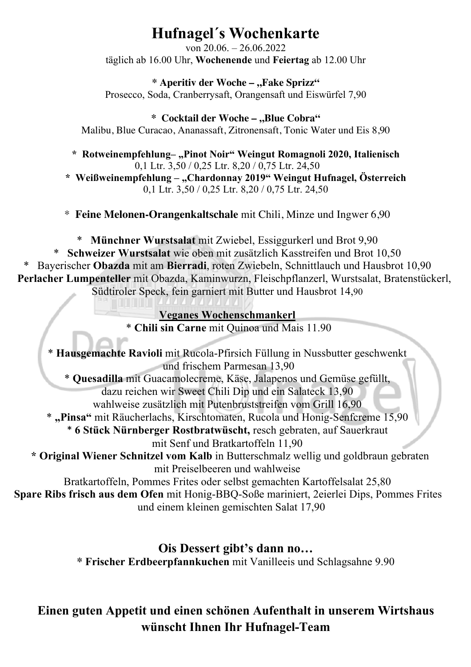# **Hufnagel´s Wochenkarte**

von 20.06. – 26.06.2022 täglich ab 16.00 Uhr, **Wochenende** und **Feiertag** ab 12.00 Uhr

**\* Aperitiv der Woche – "Fake Sprizz"** Prosecco, Soda, Cranberrysaft, Orangensaft und Eiswürfel 7,90

\* Cocktail der Woche - "Blue Cobra" Malibu, Blue Curacao, Ananassaft, Zitronensaft, Tonic Water und Eis 8,90

**\* Rotweinempfehlung– "Pinot Noir" Weingut Romagnoli 2020, Italienisch** 0,1 Ltr. 3,50 / 0,25 Ltr. 8,20 / 0,75 Ltr. 24,50

**\* Weißweinempfehlung – "Chardonnay 2019" Weingut Hufnagel, Österreich** 0,1 Ltr. 3,50 / 0,25 Ltr. 8,20 / 0,75 Ltr. 24,50

\* **Feine Melonen-Orangenkaltschale** mit Chili, Minze und Ingwer 6,90

\* **Münchner Wurstsalat** mit Zwiebel, Essiggurkerl und Brot 9,90 \* **Schweizer Wurstsalat** wie oben mit zusätzlich Kasstreifen und Brot 10,50 \* Bayerischer **Obazda** mit am **Bierradi**, roten Zwiebeln, Schnittlauch und Hausbrot 10,90 Perlacher Lumpenteller mit Obazda, Kaminwurzn, Fleischpflanzerl, Wurstsalat, Bratenstückerl, Südtiroler Speck, fein garniert mit Butter und Hausbrot 14,90

## **Veganes Wochenschmankerl** \* **Chili sin Carne** mit Quinoa und Mais 11.90

\* **Hausgemachte Ravioli** mit Rucola-Pfirsich Füllung in Nussbutter geschwenkt und frischem Parmesan 13,90 \* **Quesadilla** mit Guacamolecreme, Käse, Jalapenos und Gemüse gefüllt, dazu reichen wir Sweet Chili Dip und ein Salateck 13,90 wahlweise zusätzlich mit Putenbruststreifen vom Grill 16,90 \* **"Pinsa"** mit Räucherlachs, Kirschtomaten, Rucola und Honig-Senfcreme 15,90 \* **6 Stück Nürnberger Rostbratwüscht,** resch gebraten, auf Sauerkraut mit Senf und Bratkartoffeln 11,90 **\* Original Wiener Schnitzel vom Kalb** in Butterschmalz wellig und goldbraun gebraten mit Preiselbeeren und wahlweise Bratkartoffeln, Pommes Frites oder selbst gemachten Kartoffelsalat 25,80 **\* Spare Ribs frisch aus dem Ofen** mit Honig-BBQ-Soße mariniert, 2eierlei Dips, Pommes Frites und einem kleinen gemischten Salat 17,90

# **Ois Dessert gibt's dann no…**

**\* Frischer Erdbeerpfannkuchen** mit Vanilleeis und Schlagsahne 9.90

# **Einen guten Appetit und einen schönen Aufenthalt in unserem Wirtshaus** wünscht Ihnen Ihr Hufnagel-Team